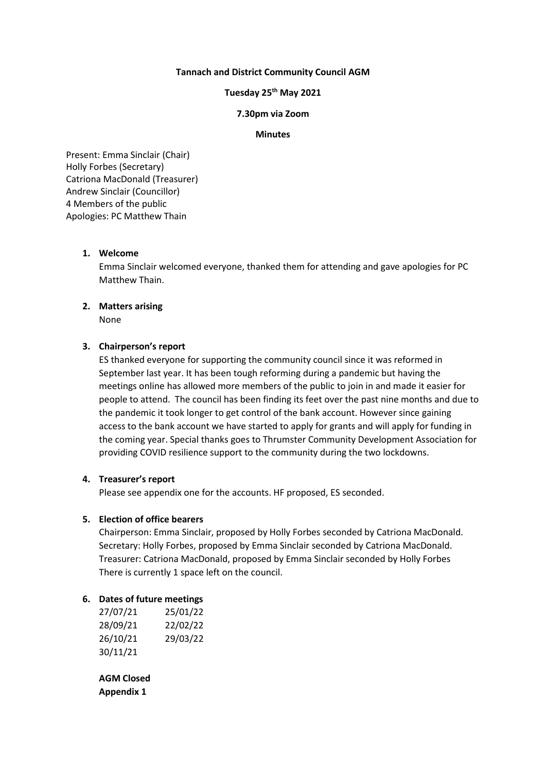## **Tannach and District Community Council AGM**

# **Tuesday 25 th May 2021**

#### **7.30pm via Zoom**

#### **Minutes**

Present: Emma Sinclair (Chair) Holly Forbes (Secretary) Catriona MacDonald (Treasurer) Andrew Sinclair (Councillor) 4 Members of the public Apologies: PC Matthew Thain

## **1. Welcome**

Emma Sinclair welcomed everyone, thanked them for attending and gave apologies for PC Matthew Thain.

# **2. Matters arising** None

## **3. Chairperson's report**

ES thanked everyone for supporting the community council since it was reformed in September last year. It has been tough reforming during a pandemic but having the meetings online has allowed more members of the public to join in and made it easier for people to attend. The council has been finding its feet over the past nine months and due to the pandemic it took longer to get control of the bank account. However since gaining access to the bank account we have started to apply for grants and will apply for funding in the coming year. Special thanks goes to Thrumster Community Development Association for providing COVID resilience support to the community during the two lockdowns.

# **4. Treasurer's report**

Please see appendix one for the accounts. HF proposed, ES seconded.

# **5. Election of office bearers**

Chairperson: Emma Sinclair, proposed by Holly Forbes seconded by Catriona MacDonald. Secretary: Holly Forbes, proposed by Emma Sinclair seconded by Catriona MacDonald. Treasurer: Catriona MacDonald, proposed by Emma Sinclair seconded by Holly Forbes There is currently 1 space left on the council.

## **6. Dates of future meetings**

| 27/07/21 | 25/01/22 |
|----------|----------|
| 28/09/21 | 22/02/22 |
| 26/10/21 | 29/03/22 |
| 30/11/21 |          |

**AGM Closed Appendix 1**